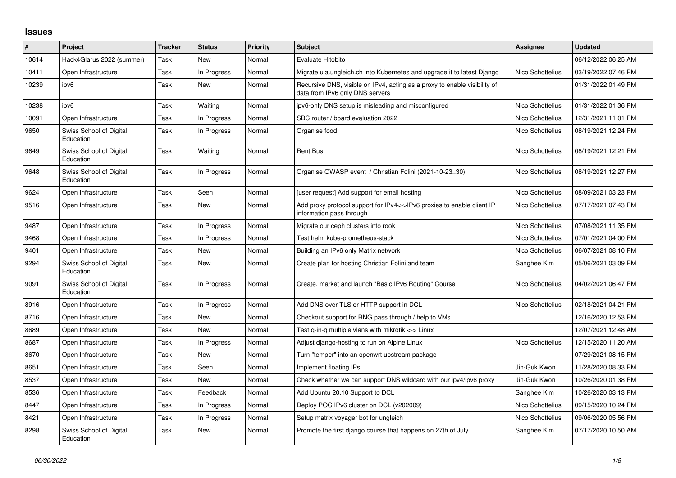## **Issues**

| $\vert$ # | Project                              | <b>Tracker</b> | <b>Status</b> | <b>Priority</b> | <b>Subject</b>                                                                                               | Assignee         | <b>Updated</b>      |
|-----------|--------------------------------------|----------------|---------------|-----------------|--------------------------------------------------------------------------------------------------------------|------------------|---------------------|
| 10614     | Hack4Glarus 2022 (summer)            | Task           | New           | Normal          | Evaluate Hitobito                                                                                            |                  | 06/12/2022 06:25 AM |
| 10411     | Open Infrastructure                  | Task           | In Progress   | Normal          | Migrate ula.ungleich.ch into Kubernetes and upgrade it to latest Diango                                      | Nico Schottelius | 03/19/2022 07:46 PM |
| 10239     | ipv6                                 | Task           | New           | Normal          | Recursive DNS, visible on IPv4, acting as a proxy to enable visibility of<br>data from IPv6 only DNS servers |                  | 01/31/2022 01:49 PM |
| 10238     | ipv6                                 | Task           | Waiting       | Normal          | ipv6-only DNS setup is misleading and misconfigured                                                          | Nico Schottelius | 01/31/2022 01:36 PM |
| 10091     | Open Infrastructure                  | Task           | In Progress   | Normal          | SBC router / board evaluation 2022                                                                           | Nico Schottelius | 12/31/2021 11:01 PM |
| 9650      | Swiss School of Digital<br>Education | Task           | In Progress   | Normal          | Organise food                                                                                                | Nico Schottelius | 08/19/2021 12:24 PM |
| 9649      | Swiss School of Digital<br>Education | Task           | Waiting       | Normal          | <b>Rent Bus</b>                                                                                              | Nico Schottelius | 08/19/2021 12:21 PM |
| 9648      | Swiss School of Digital<br>Education | Task           | In Progress   | Normal          | Organise OWASP event / Christian Folini (2021-10-2330)                                                       | Nico Schottelius | 08/19/2021 12:27 PM |
| 9624      | Open Infrastructure                  | Task           | Seen          | Normal          | [user request] Add support for email hosting                                                                 | Nico Schottelius | 08/09/2021 03:23 PM |
| 9516      | Open Infrastructure                  | Task           | New           | Normal          | Add proxy protocol support for IPv4<->IPv6 proxies to enable client IP<br>information pass through           | Nico Schottelius | 07/17/2021 07:43 PM |
| 9487      | Open Infrastructure                  | Task           | In Progress   | Normal          | Migrate our ceph clusters into rook                                                                          | Nico Schottelius | 07/08/2021 11:35 PM |
| 9468      | Open Infrastructure                  | Task           | In Progress   | Normal          | Test helm kube-prometheus-stack                                                                              | Nico Schottelius | 07/01/2021 04:00 PM |
| 9401      | Open Infrastructure                  | Task           | New           | Normal          | Building an IPv6 only Matrix network                                                                         | Nico Schottelius | 06/07/2021 08:10 PM |
| 9294      | Swiss School of Digital<br>Education | Task           | New           | Normal          | Create plan for hosting Christian Folini and team                                                            | Sanghee Kim      | 05/06/2021 03:09 PM |
| 9091      | Swiss School of Digital<br>Education | Task           | In Progress   | Normal          | Create, market and launch "Basic IPv6 Routing" Course                                                        | Nico Schottelius | 04/02/2021 06:47 PM |
| 8916      | Open Infrastructure                  | Task           | In Progress   | Normal          | Add DNS over TLS or HTTP support in DCL                                                                      | Nico Schottelius | 02/18/2021 04:21 PM |
| 8716      | Open Infrastructure                  | Task           | New           | Normal          | Checkout support for RNG pass through / help to VMs                                                          |                  | 12/16/2020 12:53 PM |
| 8689      | Open Infrastructure                  | Task           | New           | Normal          | Test q-in-q multiple vlans with mikrotik <-> Linux                                                           |                  | 12/07/2021 12:48 AM |
| 8687      | Open Infrastructure                  | Task           | In Progress   | Normal          | Adjust django-hosting to run on Alpine Linux                                                                 | Nico Schottelius | 12/15/2020 11:20 AM |
| 8670      | Open Infrastructure                  | Task           | <b>New</b>    | Normal          | Turn "temper" into an openwrt upstream package                                                               |                  | 07/29/2021 08:15 PM |
| 8651      | Open Infrastructure                  | Task           | Seen          | Normal          | Implement floating IPs                                                                                       | Jin-Guk Kwon     | 11/28/2020 08:33 PM |
| 8537      | Open Infrastructure                  | Task           | New           | Normal          | Check whether we can support DNS wildcard with our ipv4/ipv6 proxy                                           | Jin-Guk Kwon     | 10/26/2020 01:38 PM |
| 8536      | Open Infrastructure                  | Task           | Feedback      | Normal          | Add Ubuntu 20.10 Support to DCL                                                                              | Sanghee Kim      | 10/26/2020 03:13 PM |
| 8447      | Open Infrastructure                  | Task           | In Progress   | Normal          | Deploy POC IPv6 cluster on DCL (v202009)                                                                     | Nico Schottelius | 09/15/2020 10:24 PM |
| 8421      | Open Infrastructure                  | Task           | In Progress   | Normal          | Setup matrix voyager bot for ungleich                                                                        | Nico Schottelius | 09/06/2020 05:56 PM |
| 8298      | Swiss School of Digital<br>Education | Task           | <b>New</b>    | Normal          | Promote the first django course that happens on 27th of July                                                 | Sanghee Kim      | 07/17/2020 10:50 AM |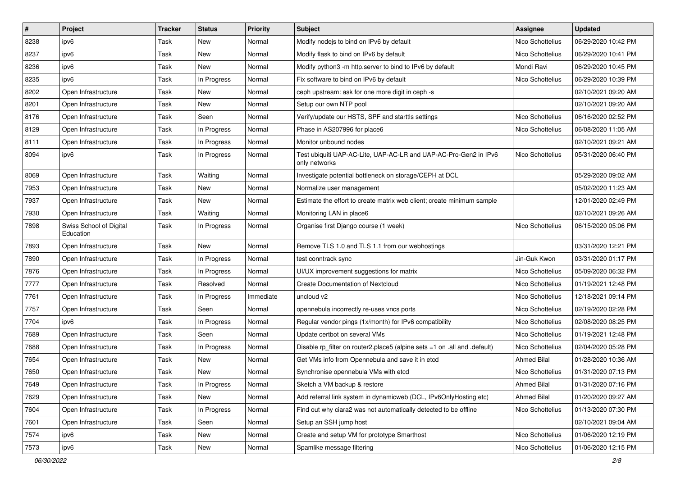| $\vert$ # | Project                              | <b>Tracker</b> | <b>Status</b> | <b>Priority</b> | Subject                                                                           | <b>Assignee</b>    | <b>Updated</b>      |
|-----------|--------------------------------------|----------------|---------------|-----------------|-----------------------------------------------------------------------------------|--------------------|---------------------|
| 8238      | ipv6                                 | Task           | New           | Normal          | Modify nodejs to bind on IPv6 by default                                          | Nico Schottelius   | 06/29/2020 10:42 PM |
| 8237      | ipv6                                 | Task           | New           | Normal          | Modify flask to bind on IPv6 by default                                           | Nico Schottelius   | 06/29/2020 10:41 PM |
| 8236      | ipv6                                 | Task           | New           | Normal          | Modify python3 -m http.server to bind to IPv6 by default                          | Mondi Ravi         | 06/29/2020 10:45 PM |
| 8235      | ipv6                                 | Task           | In Progress   | Normal          | Fix software to bind on IPv6 by default                                           | Nico Schottelius   | 06/29/2020 10:39 PM |
| 8202      | Open Infrastructure                  | Task           | New           | Normal          | ceph upstream: ask for one more digit in ceph -s                                  |                    | 02/10/2021 09:20 AM |
| 8201      | Open Infrastructure                  | Task           | New           | Normal          | Setup our own NTP pool                                                            |                    | 02/10/2021 09:20 AM |
| 8176      | Open Infrastructure                  | Task           | Seen          | Normal          | Verify/update our HSTS, SPF and starttls settings                                 | Nico Schottelius   | 06/16/2020 02:52 PM |
| 8129      | Open Infrastructure                  | Task           | In Progress   | Normal          | Phase in AS207996 for place6                                                      | Nico Schottelius   | 06/08/2020 11:05 AM |
| 8111      | Open Infrastructure                  | Task           | In Progress   | Normal          | Monitor unbound nodes                                                             |                    | 02/10/2021 09:21 AM |
| 8094      | ipv6                                 | Task           | In Progress   | Normal          | Test ubiquiti UAP-AC-Lite, UAP-AC-LR and UAP-AC-Pro-Gen2 in IPv6<br>only networks | Nico Schottelius   | 05/31/2020 06:40 PM |
| 8069      | Open Infrastructure                  | Task           | Waiting       | Normal          | Investigate potential bottleneck on storage/CEPH at DCL                           |                    | 05/29/2020 09:02 AM |
| 7953      | Open Infrastructure                  | Task           | New           | Normal          | Normalize user management                                                         |                    | 05/02/2020 11:23 AM |
| 7937      | Open Infrastructure                  | Task           | New           | Normal          | Estimate the effort to create matrix web client; create minimum sample            |                    | 12/01/2020 02:49 PM |
| 7930      | Open Infrastructure                  | Task           | Waiting       | Normal          | Monitoring LAN in place6                                                          |                    | 02/10/2021 09:26 AM |
| 7898      | Swiss School of Digital<br>Education | Task           | In Progress   | Normal          | Organise first Django course (1 week)                                             | Nico Schottelius   | 06/15/2020 05:06 PM |
| 7893      | Open Infrastructure                  | Task           | <b>New</b>    | Normal          | Remove TLS 1.0 and TLS 1.1 from our webhostings                                   |                    | 03/31/2020 12:21 PM |
| 7890      | Open Infrastructure                  | Task           | In Progress   | Normal          | test conntrack sync                                                               | Jin-Guk Kwon       | 03/31/2020 01:17 PM |
| 7876      | Open Infrastructure                  | Task           | In Progress   | Normal          | UI/UX improvement suggestions for matrix                                          | Nico Schottelius   | 05/09/2020 06:32 PM |
| 7777      | Open Infrastructure                  | Task           | Resolved      | Normal          | <b>Create Documentation of Nextcloud</b>                                          | Nico Schottelius   | 01/19/2021 12:48 PM |
| 7761      | Open Infrastructure                  | Task           | In Progress   | Immediate       | uncloud v2                                                                        | Nico Schottelius   | 12/18/2021 09:14 PM |
| 7757      | Open Infrastructure                  | Task           | Seen          | Normal          | opennebula incorrectly re-uses vncs ports                                         | Nico Schottelius   | 02/19/2020 02:28 PM |
| 7704      | ipv6                                 | Task           | In Progress   | Normal          | Regular vendor pings (1x/month) for IPv6 compatibility                            | Nico Schottelius   | 02/08/2020 08:25 PM |
| 7689      | Open Infrastructure                  | Task           | Seen          | Normal          | Update certbot on several VMs                                                     | Nico Schottelius   | 01/19/2021 12:48 PM |
| 7688      | Open Infrastructure                  | Task           | In Progress   | Normal          | Disable rp_filter on router2.place5 (alpine sets =1 on .all and .default)         | Nico Schottelius   | 02/04/2020 05:28 PM |
| 7654      | Open Infrastructure                  | Task           | New           | Normal          | Get VMs info from Opennebula and save it in etcd                                  | <b>Ahmed Bilal</b> | 01/28/2020 10:36 AM |
| 7650      | Open Infrastructure                  | Task           | New           | Normal          | Synchronise opennebula VMs with etcd                                              | Nico Schottelius   | 01/31/2020 07:13 PM |
| 7649      | Open Infrastructure                  | Task           | In Progress   | Normal          | Sketch a VM backup & restore                                                      | <b>Ahmed Bilal</b> | 01/31/2020 07:16 PM |
| 7629      | Open Infrastructure                  | Task           | New           | Normal          | Add referral link system in dynamicweb (DCL, IPv6OnlyHosting etc)                 | <b>Ahmed Bilal</b> | 01/20/2020 09:27 AM |
| 7604      | Open Infrastructure                  | Task           | In Progress   | Normal          | Find out why ciara2 was not automatically detected to be offline                  | Nico Schottelius   | 01/13/2020 07:30 PM |
| 7601      | Open Infrastructure                  | Task           | Seen          | Normal          | Setup an SSH jump host                                                            |                    | 02/10/2021 09:04 AM |
| 7574      | ipv6                                 | Task           | New           | Normal          | Create and setup VM for prototype Smarthost                                       | Nico Schottelius   | 01/06/2020 12:19 PM |
| 7573      | ipv6                                 | Task           | New           | Normal          | Spamlike message filtering                                                        | Nico Schottelius   | 01/06/2020 12:15 PM |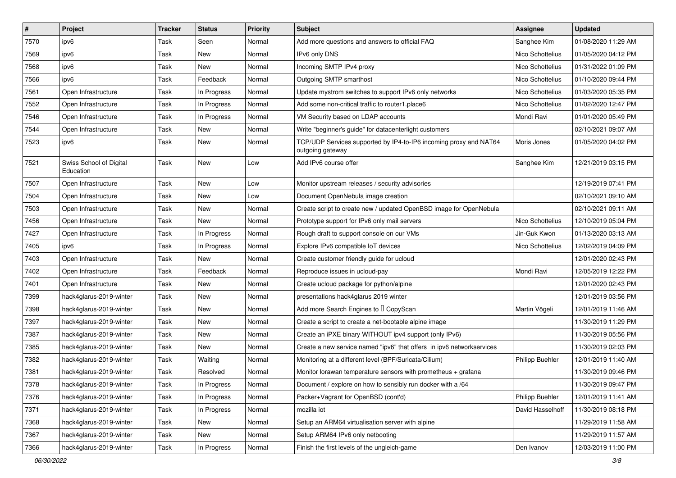| $\vert$ # | Project                              | <b>Tracker</b> | <b>Status</b> | <b>Priority</b> | Subject                                                                               | <b>Assignee</b>        | <b>Updated</b>      |
|-----------|--------------------------------------|----------------|---------------|-----------------|---------------------------------------------------------------------------------------|------------------------|---------------------|
| 7570      | ipv6                                 | Task           | Seen          | Normal          | Add more questions and answers to official FAQ                                        | Sanghee Kim            | 01/08/2020 11:29 AM |
| 7569      | ipv6                                 | Task           | New           | Normal          | IPv6 only DNS                                                                         | Nico Schottelius       | 01/05/2020 04:12 PM |
| 7568      | ipv6                                 | Task           | New           | Normal          | Incoming SMTP IPv4 proxy                                                              | Nico Schottelius       | 01/31/2022 01:09 PM |
| 7566      | ipv6                                 | Task           | Feedback      | Normal          | Outgoing SMTP smarthost                                                               | Nico Schottelius       | 01/10/2020 09:44 PM |
| 7561      | Open Infrastructure                  | Task           | In Progress   | Normal          | Update mystrom switches to support IPv6 only networks                                 | Nico Schottelius       | 01/03/2020 05:35 PM |
| 7552      | Open Infrastructure                  | Task           | In Progress   | Normal          | Add some non-critical traffic to router1.place6                                       | Nico Schottelius       | 01/02/2020 12:47 PM |
| 7546      | Open Infrastructure                  | Task           | In Progress   | Normal          | VM Security based on LDAP accounts                                                    | Mondi Ravi             | 01/01/2020 05:49 PM |
| 7544      | Open Infrastructure                  | Task           | New           | Normal          | Write "beginner's guide" for datacenterlight customers                                |                        | 02/10/2021 09:07 AM |
| 7523      | ipv6                                 | Task           | New           | Normal          | TCP/UDP Services supported by IP4-to-IP6 incoming proxy and NAT64<br>outgoing gateway | Moris Jones            | 01/05/2020 04:02 PM |
| 7521      | Swiss School of Digital<br>Education | Task           | New           | Low             | Add IPv6 course offer                                                                 | Sanghee Kim            | 12/21/2019 03:15 PM |
| 7507      | Open Infrastructure                  | Task           | New           | Low             | Monitor upstream releases / security advisories                                       |                        | 12/19/2019 07:41 PM |
| 7504      | Open Infrastructure                  | Task           | New           | Low             | Document OpenNebula image creation                                                    |                        | 02/10/2021 09:10 AM |
| 7503      | Open Infrastructure                  | Task           | New           | Normal          | Create script to create new / updated OpenBSD image for OpenNebula                    |                        | 02/10/2021 09:11 AM |
| 7456      | Open Infrastructure                  | Task           | New           | Normal          | Prototype support for IPv6 only mail servers                                          | Nico Schottelius       | 12/10/2019 05:04 PM |
| 7427      | Open Infrastructure                  | Task           | In Progress   | Normal          | Rough draft to support console on our VMs                                             | Jin-Guk Kwon           | 01/13/2020 03:13 AM |
| 7405      | ipv6                                 | Task           | In Progress   | Normal          | Explore IPv6 compatible IoT devices                                                   | Nico Schottelius       | 12/02/2019 04:09 PM |
| 7403      | Open Infrastructure                  | Task           | New           | Normal          | Create customer friendly guide for ucloud                                             |                        | 12/01/2020 02:43 PM |
| 7402      | Open Infrastructure                  | Task           | Feedback      | Normal          | Reproduce issues in ucloud-pay                                                        | Mondi Ravi             | 12/05/2019 12:22 PM |
| 7401      | Open Infrastructure                  | Task           | New           | Normal          | Create ucloud package for python/alpine                                               |                        | 12/01/2020 02:43 PM |
| 7399      | hack4glarus-2019-winter              | Task           | New           | Normal          | presentations hack4glarus 2019 winter                                                 |                        | 12/01/2019 03:56 PM |
| 7398      | hack4glarus-2019-winter              | Task           | <b>New</b>    | Normal          | Add more Search Engines to I CopyScan                                                 | Martin Vögeli          | 12/01/2019 11:46 AM |
| 7397      | hack4glarus-2019-winter              | Task           | New           | Normal          | Create a script to create a net-bootable alpine image                                 |                        | 11/30/2019 11:29 PM |
| 7387      | hack4glarus-2019-winter              | Task           | New           | Normal          | Create an iPXE binary WITHOUT ipv4 support (only IPv6)                                |                        | 11/30/2019 05:56 PM |
| 7385      | hack4glarus-2019-winter              | Task           | New           | Normal          | Create a new service named "ipv6" that offers in ipv6 networkservices                 |                        | 11/30/2019 02:03 PM |
| 7382      | hack4glarus-2019-winter              | Task           | Waiting       | Normal          | Monitoring at a different level (BPF/Suricata/Cilium)                                 | <b>Philipp Buehler</b> | 12/01/2019 11:40 AM |
| 7381      | hack4glarus-2019-winter              | Task           | Resolved      | Normal          | Monitor lorawan temperature sensors with prometheus $+$ grafana                       |                        | 11/30/2019 09:46 PM |
| 7378      | hack4glarus-2019-winter              | Task           | In Progress   | Normal          | Document / explore on how to sensibly run docker with a /64                           |                        | 11/30/2019 09:47 PM |
| 7376      | hack4glarus-2019-winter              | Task           | In Progress   | Normal          | Packer+Vagrant for OpenBSD (cont'd)                                                   | <b>Philipp Buehler</b> | 12/01/2019 11:41 AM |
| 7371      | hack4glarus-2019-winter              | Task           | In Progress   | Normal          | mozilla iot                                                                           | David Hasselhoff       | 11/30/2019 08:18 PM |
| 7368      | hack4glarus-2019-winter              | Task           | New           | Normal          | Setup an ARM64 virtualisation server with alpine                                      |                        | 11/29/2019 11:58 AM |
| 7367      | hack4glarus-2019-winter              | Task           | New           | Normal          | Setup ARM64 IPv6 only netbooting                                                      |                        | 11/29/2019 11:57 AM |
| 7366      | hack4glarus-2019-winter              | Task           | In Progress   | Normal          | Finish the first levels of the ungleich-game                                          | Den Ivanov             | 12/03/2019 11:00 PM |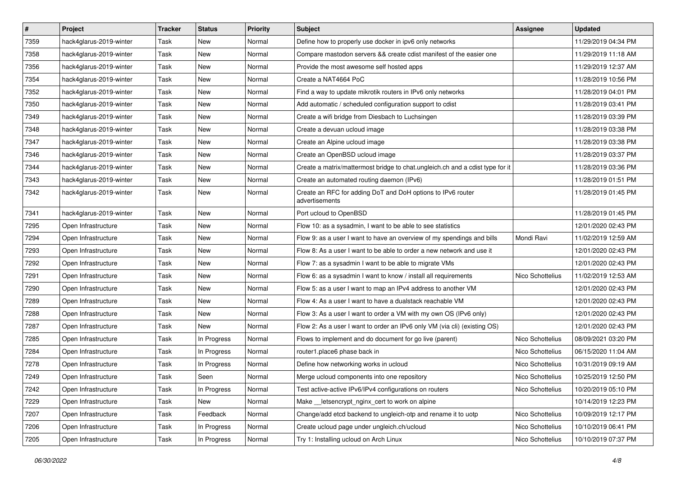| $\vert$ # | Project                 | <b>Tracker</b> | <b>Status</b> | <b>Priority</b> | Subject                                                                       | <b>Assignee</b>  | <b>Updated</b>      |
|-----------|-------------------------|----------------|---------------|-----------------|-------------------------------------------------------------------------------|------------------|---------------------|
| 7359      | hack4glarus-2019-winter | Task           | New           | Normal          | Define how to properly use docker in ipv6 only networks                       |                  | 11/29/2019 04:34 PM |
| 7358      | hack4glarus-2019-winter | Task           | <b>New</b>    | Normal          | Compare mastodon servers && create cdist manifest of the easier one           |                  | 11/29/2019 11:18 AM |
| 7356      | hack4glarus-2019-winter | Task           | New           | Normal          | Provide the most awesome self hosted apps                                     |                  | 11/29/2019 12:37 AM |
| 7354      | hack4glarus-2019-winter | Task           | New           | Normal          | Create a NAT4664 PoC                                                          |                  | 11/28/2019 10:56 PM |
| 7352      | hack4glarus-2019-winter | Task           | New           | Normal          | Find a way to update mikrotik routers in IPv6 only networks                   |                  | 11/28/2019 04:01 PM |
| 7350      | hack4glarus-2019-winter | Task           | New           | Normal          | Add automatic / scheduled configuration support to cdist                      |                  | 11/28/2019 03:41 PM |
| 7349      | hack4glarus-2019-winter | Task           | New           | Normal          | Create a wifi bridge from Diesbach to Luchsingen                              |                  | 11/28/2019 03:39 PM |
| 7348      | hack4glarus-2019-winter | Task           | New           | Normal          | Create a devuan ucloud image                                                  |                  | 11/28/2019 03:38 PM |
| 7347      | hack4glarus-2019-winter | Task           | New           | Normal          | Create an Alpine ucloud image                                                 |                  | 11/28/2019 03:38 PM |
| 7346      | hack4glarus-2019-winter | Task           | New           | Normal          | Create an OpenBSD ucloud image                                                |                  | 11/28/2019 03:37 PM |
| 7344      | hack4glarus-2019-winter | Task           | New           | Normal          | Create a matrix/mattermost bridge to chat.ungleich.ch and a cdist type for it |                  | 11/28/2019 03:36 PM |
| 7343      | hack4glarus-2019-winter | Task           | New           | Normal          | Create an automated routing daemon (IPv6)                                     |                  | 11/28/2019 01:51 PM |
| 7342      | hack4glarus-2019-winter | Task           | New           | Normal          | Create an RFC for adding DoT and DoH options to IPv6 router<br>advertisements |                  | 11/28/2019 01:45 PM |
| 7341      | hack4glarus-2019-winter | Task           | New           | Normal          | Port ucloud to OpenBSD                                                        |                  | 11/28/2019 01:45 PM |
| 7295      | Open Infrastructure     | Task           | New           | Normal          | Flow 10: as a sysadmin, I want to be able to see statistics                   |                  | 12/01/2020 02:43 PM |
| 7294      | Open Infrastructure     | Task           | New           | Normal          | Flow 9: as a user I want to have an overview of my spendings and bills        | Mondi Ravi       | 11/02/2019 12:59 AM |
| 7293      | Open Infrastructure     | Task           | New           | Normal          | Flow 8: As a user I want to be able to order a new network and use it         |                  | 12/01/2020 02:43 PM |
| 7292      | Open Infrastructure     | Task           | New           | Normal          | Flow 7: as a sysadmin I want to be able to migrate VMs                        |                  | 12/01/2020 02:43 PM |
| 7291      | Open Infrastructure     | Task           | New           | Normal          | Flow 6: as a sysadmin I want to know / install all requirements               | Nico Schottelius | 11/02/2019 12:53 AM |
| 7290      | Open Infrastructure     | Task           | New           | Normal          | Flow 5: as a user I want to map an IPv4 address to another VM                 |                  | 12/01/2020 02:43 PM |
| 7289      | Open Infrastructure     | Task           | New           | Normal          | Flow 4: As a user I want to have a dualstack reachable VM                     |                  | 12/01/2020 02:43 PM |
| 7288      | Open Infrastructure     | Task           | New           | Normal          | Flow 3: As a user I want to order a VM with my own OS (IPv6 only)             |                  | 12/01/2020 02:43 PM |
| 7287      | Open Infrastructure     | Task           | New           | Normal          | Flow 2: As a user I want to order an IPv6 only VM (via cli) (existing OS)     |                  | 12/01/2020 02:43 PM |
| 7285      | Open Infrastructure     | Task           | In Progress   | Normal          | Flows to implement and do document for go live (parent)                       | Nico Schottelius | 08/09/2021 03:20 PM |
| 7284      | Open Infrastructure     | Task           | In Progress   | Normal          | router1.place6 phase back in                                                  | Nico Schottelius | 06/15/2020 11:04 AM |
| 7278      | Open Infrastructure     | Task           | In Progress   | Normal          | Define how networking works in ucloud                                         | Nico Schottelius | 10/31/2019 09:19 AM |
| 7249      | Open Infrastructure     | Task           | Seen          | Normal          | Merge ucloud components into one repository                                   | Nico Schottelius | 10/25/2019 12:50 PM |
| 7242      | Open Infrastructure     | Task           | In Progress   | Normal          | Test active-active IPv6/IPv4 configurations on routers                        | Nico Schottelius | 10/20/2019 05:10 PM |
| 7229      | Open Infrastructure     | Task           | New           | Normal          | Make letsencrypt nginx cert to work on alpine                                 |                  | 10/14/2019 12:23 PM |
| 7207      | Open Infrastructure     | Task           | Feedback      | Normal          | Change/add etcd backend to ungleich-otp and rename it to uotp                 | Nico Schottelius | 10/09/2019 12:17 PM |
| 7206      | Open Infrastructure     | Task           | In Progress   | Normal          | Create ucloud page under ungleich.ch/ucloud                                   | Nico Schottelius | 10/10/2019 06:41 PM |
| 7205      | Open Infrastructure     | Task           | In Progress   | Normal          | Try 1: Installing ucloud on Arch Linux                                        | Nico Schottelius | 10/10/2019 07:37 PM |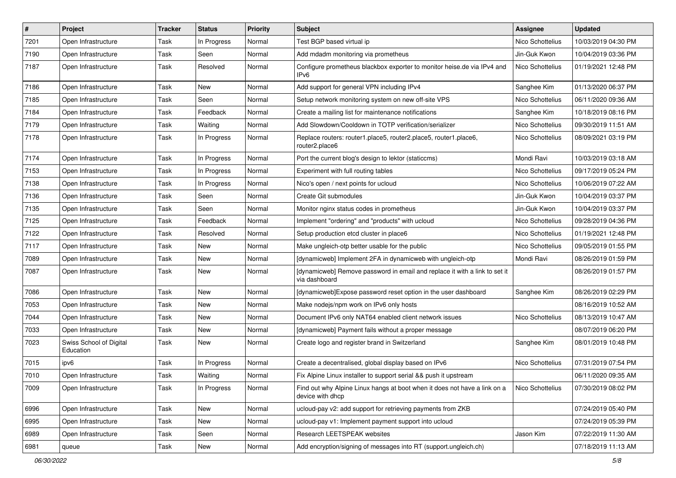| $\vert$ # | Project                              | <b>Tracker</b> | <b>Status</b> | <b>Priority</b> | Subject                                                                                       | <b>Assignee</b>  | <b>Updated</b>      |
|-----------|--------------------------------------|----------------|---------------|-----------------|-----------------------------------------------------------------------------------------------|------------------|---------------------|
| 7201      | Open Infrastructure                  | Task           | In Progress   | Normal          | Test BGP based virtual ip                                                                     | Nico Schottelius | 10/03/2019 04:30 PM |
| 7190      | Open Infrastructure                  | Task           | Seen          | Normal          | Add mdadm monitoring via prometheus                                                           | Jin-Guk Kwon     | 10/04/2019 03:36 PM |
| 7187      | Open Infrastructure                  | Task           | Resolved      | Normal          | Configure prometheus blackbox exporter to monitor heise.de via IPv4 and<br>IPv6               | Nico Schottelius | 01/19/2021 12:48 PM |
| 7186      | Open Infrastructure                  | Task           | New           | Normal          | Add support for general VPN including IPv4                                                    | Sanghee Kim      | 01/13/2020 06:37 PM |
| 7185      | Open Infrastructure                  | Task           | Seen          | Normal          | Setup network monitoring system on new off-site VPS                                           | Nico Schottelius | 06/11/2020 09:36 AM |
| 7184      | Open Infrastructure                  | Task           | Feedback      | Normal          | Create a mailing list for maintenance notifications                                           | Sanghee Kim      | 10/18/2019 08:16 PM |
| 7179      | Open Infrastructure                  | Task           | Waiting       | Normal          | Add Slowdown/Cooldown in TOTP verification/serializer                                         | Nico Schottelius | 09/30/2019 11:51 AM |
| 7178      | Open Infrastructure                  | Task           | In Progress   | Normal          | Replace routers: router1.place5, router2.place5, router1.place6,<br>router2.place6            | Nico Schottelius | 08/09/2021 03:19 PM |
| 7174      | Open Infrastructure                  | Task           | In Progress   | Normal          | Port the current blog's design to lektor (staticcms)                                          | Mondi Ravi       | 10/03/2019 03:18 AM |
| 7153      | Open Infrastructure                  | Task           | In Progress   | Normal          | Experiment with full routing tables                                                           | Nico Schottelius | 09/17/2019 05:24 PM |
| 7138      | Open Infrastructure                  | Task           | In Progress   | Normal          | Nico's open / next points for ucloud                                                          | Nico Schottelius | 10/06/2019 07:22 AM |
| 7136      | Open Infrastructure                  | Task           | Seen          | Normal          | Create Git submodules                                                                         | Jin-Guk Kwon     | 10/04/2019 03:37 PM |
| 7135      | Open Infrastructure                  | Task           | Seen          | Normal          | Monitor nginx status codes in prometheus                                                      | Jin-Guk Kwon     | 10/04/2019 03:37 PM |
| 7125      | Open Infrastructure                  | Task           | Feedback      | Normal          | Implement "ordering" and "products" with ucloud                                               | Nico Schottelius | 09/28/2019 04:36 PM |
| 7122      | Open Infrastructure                  | Task           | Resolved      | Normal          | Setup production etcd cluster in place6                                                       | Nico Schottelius | 01/19/2021 12:48 PM |
| 7117      | Open Infrastructure                  | Task           | New           | Normal          | Make ungleich-otp better usable for the public                                                | Nico Schottelius | 09/05/2019 01:55 PM |
| 7089      | Open Infrastructure                  | Task           | New           | Normal          | [dynamicweb] Implement 2FA in dynamicweb with ungleich-otp                                    | Mondi Ravi       | 08/26/2019 01:59 PM |
| 7087      | Open Infrastructure                  | Task           | New           | Normal          | [dynamicweb] Remove password in email and replace it with a link to set it<br>via dashboard   |                  | 08/26/2019 01:57 PM |
| 7086      | Open Infrastructure                  | Task           | New           | Normal          | [dynamicweb]Expose password reset option in the user dashboard                                | Sanghee Kim      | 08/26/2019 02:29 PM |
| 7053      | Open Infrastructure                  | Task           | New           | Normal          | Make nodejs/npm work on IPv6 only hosts                                                       |                  | 08/16/2019 10:52 AM |
| 7044      | Open Infrastructure                  | Task           | New           | Normal          | Document IPv6 only NAT64 enabled client network issues                                        | Nico Schottelius | 08/13/2019 10:47 AM |
| 7033      | Open Infrastructure                  | Task           | New           | Normal          | [dynamicweb] Payment fails without a proper message                                           |                  | 08/07/2019 06:20 PM |
| 7023      | Swiss School of Digital<br>Education | Task           | New           | Normal          | Create logo and register brand in Switzerland                                                 | Sanghee Kim      | 08/01/2019 10:48 PM |
| 7015      | ipv6                                 | Task           | In Progress   | Normal          | Create a decentralised, global display based on IPv6                                          | Nico Schottelius | 07/31/2019 07:54 PM |
| 7010      | Open Infrastructure                  | Task           | Waiting       | Normal          | Fix Alpine Linux installer to support serial && push it upstream                              |                  | 06/11/2020 09:35 AM |
| 7009      | Open Infrastructure                  | Task           | In Progress   | Normal          | Find out why Alpine Linux hangs at boot when it does not have a link on a<br>device with dhcp | Nico Schottelius | 07/30/2019 08:02 PM |
| 6996      | Open Infrastructure                  | Task           | New           | Normal          | ucloud-pay v2: add support for retrieving payments from ZKB                                   |                  | 07/24/2019 05:40 PM |
| 6995      | Open Infrastructure                  | Task           | New           | Normal          | ucloud-pay v1: Implement payment support into ucloud                                          |                  | 07/24/2019 05:39 PM |
| 6989      | Open Infrastructure                  | Task           | Seen          | Normal          | Research LEETSPEAK websites                                                                   | Jason Kim        | 07/22/2019 11:30 AM |
| 6981      | queue                                | Task           | New           | Normal          | Add encryption/signing of messages into RT (support.ungleich.ch)                              |                  | 07/18/2019 11:13 AM |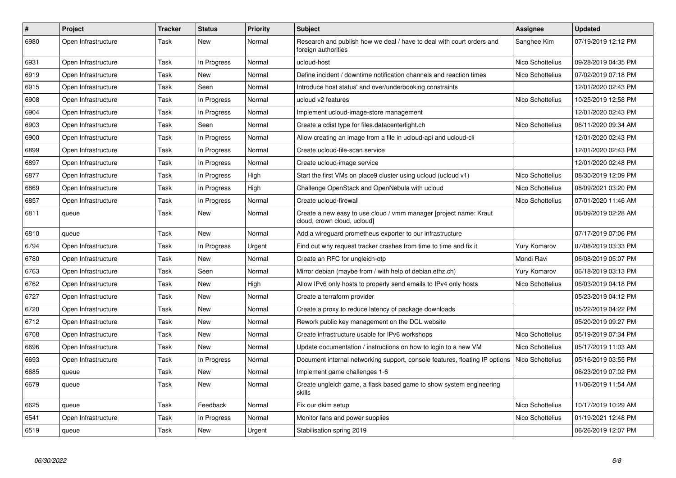| $\vert$ # | Project             | <b>Tracker</b> | <b>Status</b> | Priority | <b>Subject</b>                                                                                   | <b>Assignee</b>  | <b>Updated</b>      |
|-----------|---------------------|----------------|---------------|----------|--------------------------------------------------------------------------------------------------|------------------|---------------------|
| 6980      | Open Infrastructure | Task           | <b>New</b>    | Normal   | Research and publish how we deal / have to deal with court orders and<br>foreign authorities     | Sanghee Kim      | 07/19/2019 12:12 PM |
| 6931      | Open Infrastructure | Task           | In Progress   | Normal   | ucloud-host                                                                                      | Nico Schottelius | 09/28/2019 04:35 PM |
| 6919      | Open Infrastructure | Task           | <b>New</b>    | Normal   | Define incident / downtime notification channels and reaction times                              | Nico Schottelius | 07/02/2019 07:18 PM |
| 6915      | Open Infrastructure | Task           | Seen          | Normal   | Introduce host status' and over/underbooking constraints                                         |                  | 12/01/2020 02:43 PM |
| 6908      | Open Infrastructure | Task           | In Progress   | Normal   | ucloud v2 features                                                                               | Nico Schottelius | 10/25/2019 12:58 PM |
| 6904      | Open Infrastructure | Task           | In Progress   | Normal   | Implement ucloud-image-store management                                                          |                  | 12/01/2020 02:43 PM |
| 6903      | Open Infrastructure | Task           | Seen          | Normal   | Create a cdist type for files.datacenterlight.ch                                                 | Nico Schottelius | 06/11/2020 09:34 AM |
| 6900      | Open Infrastructure | Task           | In Progress   | Normal   | Allow creating an image from a file in ucloud-api and ucloud-cli                                 |                  | 12/01/2020 02:43 PM |
| 6899      | Open Infrastructure | Task           | In Progress   | Normal   | Create ucloud-file-scan service                                                                  |                  | 12/01/2020 02:43 PM |
| 6897      | Open Infrastructure | Task           | In Progress   | Normal   | Create ucloud-image service                                                                      |                  | 12/01/2020 02:48 PM |
| 6877      | Open Infrastructure | Task           | In Progress   | High     | Start the first VMs on place9 cluster using ucloud (ucloud v1)                                   | Nico Schottelius | 08/30/2019 12:09 PM |
| 6869      | Open Infrastructure | Task           | In Progress   | High     | Challenge OpenStack and OpenNebula with ucloud                                                   | Nico Schottelius | 08/09/2021 03:20 PM |
| 6857      | Open Infrastructure | Task           | In Progress   | Normal   | Create ucloud-firewall                                                                           | Nico Schottelius | 07/01/2020 11:46 AM |
| 6811      | queue               | Task           | New           | Normal   | Create a new easy to use cloud / vmm manager [project name: Kraut<br>cloud, crown cloud, ucloud] |                  | 06/09/2019 02:28 AM |
| 6810      | queue               | Task           | New           | Normal   | Add a wireguard prometheus exporter to our infrastructure                                        |                  | 07/17/2019 07:06 PM |
| 6794      | Open Infrastructure | Task           | In Progress   | Urgent   | Find out why request tracker crashes from time to time and fix it                                | Yury Komarov     | 07/08/2019 03:33 PM |
| 6780      | Open Infrastructure | Task           | New           | Normal   | Create an RFC for ungleich-otp                                                                   | Mondi Ravi       | 06/08/2019 05:07 PM |
| 6763      | Open Infrastructure | Task           | Seen          | Normal   | Mirror debian (maybe from / with help of debian.ethz.ch)                                         | Yury Komarov     | 06/18/2019 03:13 PM |
| 6762      | Open Infrastructure | Task           | New           | High     | Allow IPv6 only hosts to properly send emails to IPv4 only hosts                                 | Nico Schottelius | 06/03/2019 04:18 PM |
| 6727      | Open Infrastructure | Task           | New           | Normal   | Create a terraform provider                                                                      |                  | 05/23/2019 04:12 PM |
| 6720      | Open Infrastructure | Task           | New           | Normal   | Create a proxy to reduce latency of package downloads                                            |                  | 05/22/2019 04:22 PM |
| 6712      | Open Infrastructure | Task           | New           | Normal   | Rework public key management on the DCL website                                                  |                  | 05/20/2019 09:27 PM |
| 6708      | Open Infrastructure | Task           | New           | Normal   | Create infrastructure usable for IPv6 workshops                                                  | Nico Schottelius | 05/19/2019 07:34 PM |
| 6696      | Open Infrastructure | Task           | <b>New</b>    | Normal   | Update documentation / instructions on how to login to a new VM                                  | Nico Schottelius | 05/17/2019 11:03 AM |
| 6693      | Open Infrastructure | Task           | In Progress   | Normal   | Document internal networking support, console features, floating IP options                      | Nico Schottelius | 05/16/2019 03:55 PM |
| 6685      | queue               | Task           | <b>New</b>    | Normal   | Implement game challenges 1-6                                                                    |                  | 06/23/2019 07:02 PM |
| 6679      | queue               | Task           | New           | Normal   | Create ungleich game, a flask based game to show system engineering<br>skills                    |                  | 11/06/2019 11:54 AM |
| 6625      | queue               | Task           | Feedback      | Normal   | Fix our dkim setup                                                                               | Nico Schottelius | 10/17/2019 10:29 AM |
| 6541      | Open Infrastructure | Task           | In Progress   | Normal   | Monitor fans and power supplies                                                                  | Nico Schottelius | 01/19/2021 12:48 PM |
| 6519      | queue               | Task           | <b>New</b>    | Urgent   | Stabilisation spring 2019                                                                        |                  | 06/26/2019 12:07 PM |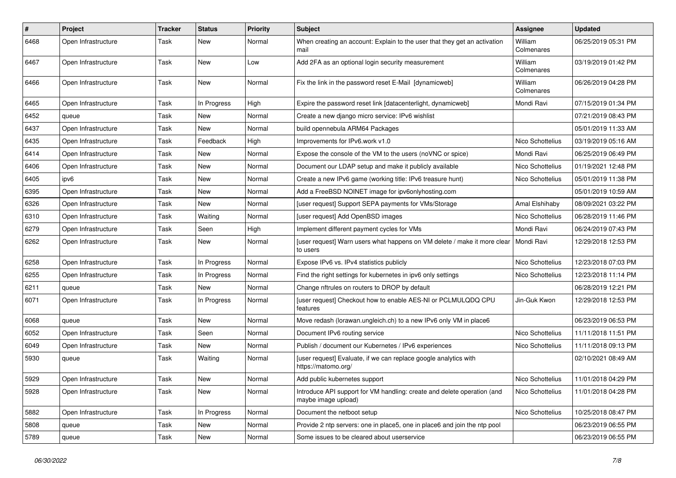| #    | Project             | Tracker | <b>Status</b> | <b>Priority</b> | <b>Subject</b>                                                                                 | Assignee              | <b>Updated</b>      |
|------|---------------------|---------|---------------|-----------------|------------------------------------------------------------------------------------------------|-----------------------|---------------------|
| 6468 | Open Infrastructure | Task    | New           | Normal          | When creating an account: Explain to the user that they get an activation<br>mail              | William<br>Colmenares | 06/25/2019 05:31 PM |
| 6467 | Open Infrastructure | Task    | New           | Low             | Add 2FA as an optional login security measurement                                              | William<br>Colmenares | 03/19/2019 01:42 PM |
| 6466 | Open Infrastructure | Task    | <b>New</b>    | Normal          | Fix the link in the password reset E-Mail [dynamicweb]                                         | William<br>Colmenares | 06/26/2019 04:28 PM |
| 6465 | Open Infrastructure | Task    | In Progress   | High            | Expire the password reset link [datacenterlight, dynamicweb]                                   | Mondi Ravi            | 07/15/2019 01:34 PM |
| 6452 | queue               | Task    | New           | Normal          | Create a new django micro service: IPv6 wishlist                                               |                       | 07/21/2019 08:43 PM |
| 6437 | Open Infrastructure | Task    | <b>New</b>    | Normal          | build opennebula ARM64 Packages                                                                |                       | 05/01/2019 11:33 AM |
| 6435 | Open Infrastructure | Task    | Feedback      | High            | Improvements for IPv6.work v1.0                                                                | Nico Schottelius      | 03/19/2019 05:16 AM |
| 6414 | Open Infrastructure | Task    | New           | Normal          | Expose the console of the VM to the users (noVNC or spice)                                     | Mondi Ravi            | 06/25/2019 06:49 PM |
| 6406 | Open Infrastructure | Task    | <b>New</b>    | Normal          | Document our LDAP setup and make it publicly available                                         | Nico Schottelius      | 01/19/2021 12:48 PM |
| 6405 | ipv6                | Task    | New           | Normal          | Create a new IPv6 game (working title: IPv6 treasure hunt)                                     | Nico Schottelius      | 05/01/2019 11:38 PM |
| 6395 | Open Infrastructure | Task    | <b>New</b>    | Normal          | Add a FreeBSD NOINET image for ipv6onlyhosting.com                                             |                       | 05/01/2019 10:59 AM |
| 6326 | Open Infrastructure | Task    | <b>New</b>    | Normal          | [user request] Support SEPA payments for VMs/Storage                                           | Amal Elshihaby        | 08/09/2021 03:22 PM |
| 6310 | Open Infrastructure | Task    | Waiting       | Normal          | [user request] Add OpenBSD images                                                              | Nico Schottelius      | 06/28/2019 11:46 PM |
| 6279 | Open Infrastructure | Task    | Seen          | High            | Implement different payment cycles for VMs                                                     | Mondi Ravi            | 06/24/2019 07:43 PM |
| 6262 | Open Infrastructure | Task    | New           | Normal          | [user request] Warn users what happens on VM delete / make it more clear<br>to users           | Mondi Ravi            | 12/29/2018 12:53 PM |
| 6258 | Open Infrastructure | Task    | In Progress   | Normal          | Expose IPv6 vs. IPv4 statistics publicly                                                       | Nico Schottelius      | 12/23/2018 07:03 PM |
| 6255 | Open Infrastructure | Task    | In Progress   | Normal          | Find the right settings for kubernetes in ipv6 only settings                                   | Nico Schottelius      | 12/23/2018 11:14 PM |
| 6211 | queue               | Task    | New           | Normal          | Change nftrules on routers to DROP by default                                                  |                       | 06/28/2019 12:21 PM |
| 6071 | Open Infrastructure | Task    | In Progress   | Normal          | [user request] Checkout how to enable AES-NI or PCLMULQDQ CPU<br>features                      | Jin-Guk Kwon          | 12/29/2018 12:53 PM |
| 6068 | queue               | Task    | <b>New</b>    | Normal          | Move redash (lorawan.ungleich.ch) to a new IPv6 only VM in place6                              |                       | 06/23/2019 06:53 PM |
| 6052 | Open Infrastructure | Task    | Seen          | Normal          | Document IPv6 routing service                                                                  | Nico Schottelius      | 11/11/2018 11:51 PM |
| 6049 | Open Infrastructure | Task    | New           | Normal          | Publish / document our Kubernetes / IPv6 experiences                                           | Nico Schottelius      | 11/11/2018 09:13 PM |
| 5930 | queue               | Task    | Waiting       | Normal          | [user request] Evaluate, if we can replace google analytics with<br>https://matomo.org/        |                       | 02/10/2021 08:49 AM |
| 5929 | Open Infrastructure | Task    | New           | Normal          | Add public kubernetes support                                                                  | Nico Schottelius      | 11/01/2018 04:29 PM |
| 5928 | Open Infrastructure | Task    | New           | Normal          | Introduce API support for VM handling: create and delete operation (and<br>maybe image upload) | Nico Schottelius      | 11/01/2018 04:28 PM |
| 5882 | Open Infrastructure | Task    | In Progress   | Normal          | Document the netboot setup                                                                     | Nico Schottelius      | 10/25/2018 08:47 PM |
| 5808 | queue               | Task    | New           | Normal          | Provide 2 ntp servers: one in place5, one in place6 and join the ntp pool                      |                       | 06/23/2019 06:55 PM |
| 5789 | queue               | Task    | New           | Normal          | Some issues to be cleared about userservice                                                    |                       | 06/23/2019 06:55 PM |